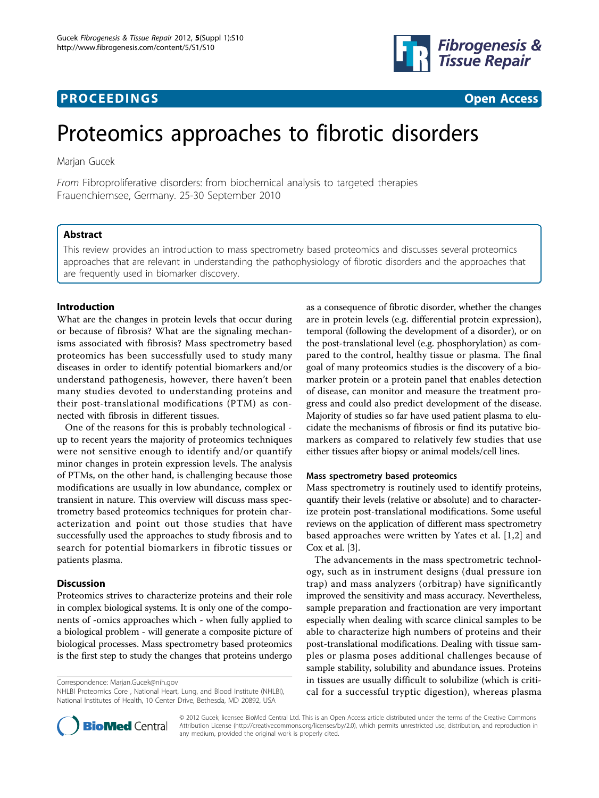# **PROCEEDINGS CONSUMING S** Open Access **CONSUMING S**



# Proteomics approaches to fibrotic disorders

Marjan Gucek

From Fibroproliferative disorders: from biochemical analysis to targeted therapies Frauenchiemsee, Germany. 25-30 September 2010

# Abstract

This review provides an introduction to mass spectrometry based proteomics and discusses several proteomics approaches that are relevant in understanding the pathophysiology of fibrotic disorders and the approaches that are frequently used in biomarker discovery.

# Introduction

What are the changes in protein levels that occur during or because of fibrosis? What are the signaling mechanisms associated with fibrosis? Mass spectrometry based proteomics has been successfully used to study many diseases in order to identify potential biomarkers and/or understand pathogenesis, however, there haven't been many studies devoted to understanding proteins and their post-translational modifications (PTM) as connected with fibrosis in different tissues.

One of the reasons for this is probably technological up to recent years the majority of proteomics techniques were not sensitive enough to identify and/or quantify minor changes in protein expression levels. The analysis of PTMs, on the other hand, is challenging because those modifications are usually in low abundance, complex or transient in nature. This overview will discuss mass spectrometry based proteomics techniques for protein characterization and point out those studies that have successfully used the approaches to study fibrosis and to search for potential biomarkers in fibrotic tissues or patients plasma.

## Discussion

Proteomics strives to characterize proteins and their role in complex biological systems. It is only one of the components of -omics approaches which - when fully applied to a biological problem - will generate a composite picture of biological processes. Mass spectrometry based proteomics is the first step to study the changes that proteins undergo

Correspondence: [Marjan.Gucek@nih.gov](mailto:Marjan.Gucek@nih.gov)

NHLBI Proteomics Core , National Heart, Lung, and Blood Institute (NHLBI), National Institutes of Health, 10 Center Drive, Bethesda, MD 20892, USA

as a consequence of fibrotic disorder, whether the changes are in protein levels (e.g. differential protein expression), temporal (following the development of a disorder), or on the post-translational level (e.g. phosphorylation) as compared to the control, healthy tissue or plasma. The final goal of many proteomics studies is the discovery of a biomarker protein or a protein panel that enables detection of disease, can monitor and measure the treatment progress and could also predict development of the disease. Majority of studies so far have used patient plasma to elucidate the mechanisms of fibrosis or find its putative biomarkers as compared to relatively few studies that use either tissues after biopsy or animal models/cell lines.

#### Mass spectrometry based proteomics

Mass spectrometry is routinely used to identify proteins, quantify their levels (relative or absolute) and to characterize protein post-translational modifications. Some useful reviews on the application of different mass spectrometry based approaches were written by Yates et al. [\[1](#page-3-0),[2\]](#page-3-0) and Cox et al. [\[3](#page-3-0)].

The advancements in the mass spectrometric technology, such as in instrument designs (dual pressure ion trap) and mass analyzers (orbitrap) have significantly improved the sensitivity and mass accuracy. Nevertheless, sample preparation and fractionation are very important especially when dealing with scarce clinical samples to be able to characterize high numbers of proteins and their post-translational modifications. Dealing with tissue samples or plasma poses additional challenges because of sample stability, solubility and abundance issues. Proteins in tissues are usually difficult to solubilize (which is critical for a successful tryptic digestion), whereas plasma



© 2012 Gucek; licensee BioMed Central Ltd. This is an Open Access article distributed under the terms of the Creative Commons Attribution License [\(http://creativecommons.org/licenses/by/2.0](http://creativecommons.org/licenses/by/2.0)), which permits unrestricted use, distribution, and reproduction in any medium, provided the original work is properly cited.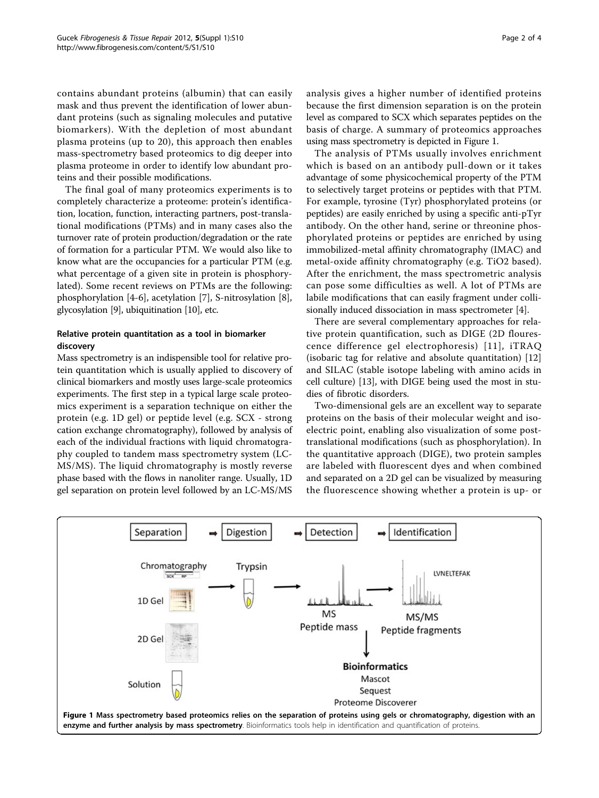contains abundant proteins (albumin) that can easily mask and thus prevent the identification of lower abundant proteins (such as signaling molecules and putative biomarkers). With the depletion of most abundant plasma proteins (up to 20), this approach then enables mass-spectrometry based proteomics to dig deeper into plasma proteome in order to identify low abundant proteins and their possible modifications.

The final goal of many proteomics experiments is to completely characterize a proteome: protein's identification, location, function, interacting partners, post-translational modifications (PTMs) and in many cases also the turnover rate of protein production/degradation or the rate of formation for a particular PTM. We would also like to know what are the occupancies for a particular PTM (e.g. what percentage of a given site in protein is phosphorylated). Some recent reviews on PTMs are the following: phosphorylation [\[4](#page-3-0)-[6\]](#page-3-0), acetylation [\[7\]](#page-3-0), S-nitrosylation [\[8](#page-3-0)], glycosylation [[9\]](#page-3-0), ubiquitination [[10](#page-3-0)], etc.

# Relative protein quantitation as a tool in biomarker discovery

Mass spectrometry is an indispensible tool for relative protein quantitation which is usually applied to discovery of clinical biomarkers and mostly uses large-scale proteomics experiments. The first step in a typical large scale proteomics experiment is a separation technique on either the protein (e.g. 1D gel) or peptide level (e.g. SCX - strong cation exchange chromatography), followed by analysis of each of the individual fractions with liquid chromatography coupled to tandem mass spectrometry system (LC-MS/MS). The liquid chromatography is mostly reverse phase based with the flows in nanoliter range. Usually, 1D gel separation on protein level followed by an LC-MS/MS analysis gives a higher number of identified proteins because the first dimension separation is on the protein level as compared to SCX which separates peptides on the basis of charge. A summary of proteomics approaches using mass spectrometry is depicted in Figure 1.

The analysis of PTMs usually involves enrichment which is based on an antibody pull-down or it takes advantage of some physicochemical property of the PTM to selectively target proteins or peptides with that PTM. For example, tyrosine (Tyr) phosphorylated proteins (or peptides) are easily enriched by using a specific anti-pTyr antibody. On the other hand, serine or threonine phosphorylated proteins or peptides are enriched by using immobilized-metal affinity chromatography (IMAC) and metal-oxide affinity chromatography (e.g. TiO2 based). After the enrichment, the mass spectrometric analysis can pose some difficulties as well. A lot of PTMs are labile modifications that can easily fragment under collisionally induced dissociation in mass spectrometer [\[4](#page-3-0)].

There are several complementary approaches for relative protein quantification, such as DIGE (2D flourescence difference gel electrophoresis) [[11](#page-3-0)], iTRAQ (isobaric tag for relative and absolute quantitation) [\[12](#page-3-0)] and SILAC (stable isotope labeling with amino acids in cell culture) [[13\]](#page-3-0), with DIGE being used the most in studies of fibrotic disorders.

Two-dimensional gels are an excellent way to separate proteins on the basis of their molecular weight and isoelectric point, enabling also visualization of some posttranslational modifications (such as phosphorylation). In the quantitative approach (DIGE), two protein samples are labeled with fluorescent dyes and when combined and separated on a 2D gel can be visualized by measuring the fluorescence showing whether a protein is up- or

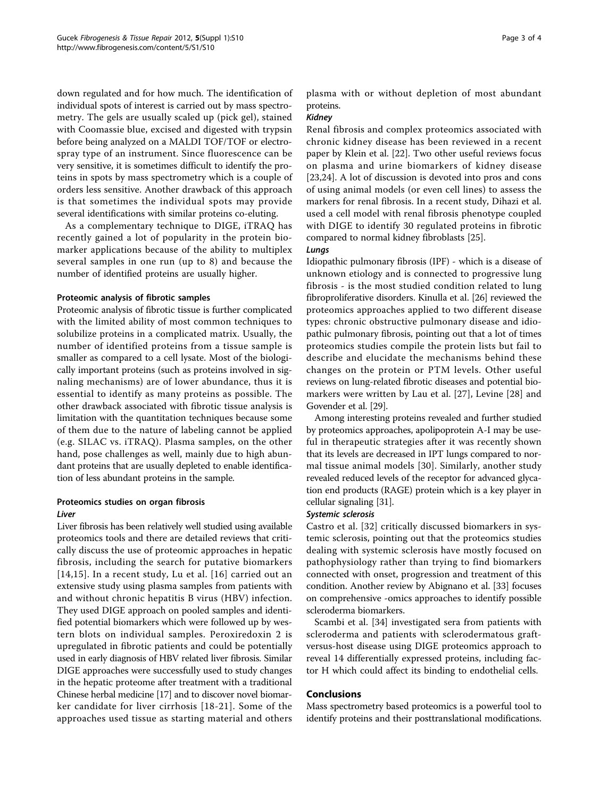down regulated and for how much. The identification of individual spots of interest is carried out by mass spectrometry. The gels are usually scaled up (pick gel), stained with Coomassie blue, excised and digested with trypsin before being analyzed on a MALDI TOF/TOF or electrospray type of an instrument. Since fluorescence can be very sensitive, it is sometimes difficult to identify the proteins in spots by mass spectrometry which is a couple of orders less sensitive. Another drawback of this approach is that sometimes the individual spots may provide several identifications with similar proteins co-eluting.

As a complementary technique to DIGE, iTRAQ has recently gained a lot of popularity in the protein biomarker applications because of the ability to multiplex several samples in one run (up to 8) and because the number of identified proteins are usually higher.

#### Proteomic analysis of fibrotic samples

Proteomic analysis of fibrotic tissue is further complicated with the limited ability of most common techniques to solubilize proteins in a complicated matrix. Usually, the number of identified proteins from a tissue sample is smaller as compared to a cell lysate. Most of the biologically important proteins (such as proteins involved in signaling mechanisms) are of lower abundance, thus it is essential to identify as many proteins as possible. The other drawback associated with fibrotic tissue analysis is limitation with the quantitation techniques because some of them due to the nature of labeling cannot be applied (e.g. SILAC vs. iTRAQ). Plasma samples, on the other hand, pose challenges as well, mainly due to high abundant proteins that are usually depleted to enable identification of less abundant proteins in the sample.

# Proteomics studies on organ fibrosis

#### Liver

Liver fibrosis has been relatively well studied using available proteomics tools and there are detailed reviews that critically discuss the use of proteomic approaches in hepatic fibrosis, including the search for putative biomarkers [[14,15](#page-3-0)]. In a recent study, Lu et al. [[16](#page-3-0)] carried out an extensive study using plasma samples from patients with and without chronic hepatitis B virus (HBV) infection. They used DIGE approach on pooled samples and identified potential biomarkers which were followed up by western blots on individual samples. Peroxiredoxin 2 is upregulated in fibrotic patients and could be potentially used in early diagnosis of HBV related liver fibrosis. Similar DIGE approaches were successfully used to study changes in the hepatic proteome after treatment with a traditional Chinese herbal medicine [[17\]](#page-3-0) and to discover novel biomarker candidate for liver cirrhosis [[18-21](#page-3-0)]. Some of the approaches used tissue as starting material and others plasma with or without depletion of most abundant proteins.

# Kidney

Renal fibrosis and complex proteomics associated with chronic kidney disease has been reviewed in a recent paper by Klein et al. [[22\]](#page-3-0). Two other useful reviews focus on plasma and urine biomarkers of kidney disease [[23,24\]](#page-3-0). A lot of discussion is devoted into pros and cons of using animal models (or even cell lines) to assess the markers for renal fibrosis. In a recent study, Dihazi et al. used a cell model with renal fibrosis phenotype coupled with DIGE to identify 30 regulated proteins in fibrotic compared to normal kidney fibroblasts [[25\]](#page-3-0).

## Lungs

Idiopathic pulmonary fibrosis (IPF) - which is a disease of unknown etiology and is connected to progressive lung fibrosis - is the most studied condition related to lung fibroproliferative disorders. Kinulla et al. [\[26\]](#page-3-0) reviewed the proteomics approaches applied to two different disease types: chronic obstructive pulmonary disease and idiopathic pulmonary fibrosis, pointing out that a lot of times proteomics studies compile the protein lists but fail to describe and elucidate the mechanisms behind these changes on the protein or PTM levels. Other useful reviews on lung-related fibrotic diseases and potential biomarkers were written by Lau et al. [[27\]](#page-3-0), Levine [[28](#page-3-0)] and Govender et al. [\[29\]](#page-3-0).

Among interesting proteins revealed and further studied by proteomics approaches, apolipoprotein A-I may be useful in therapeutic strategies after it was recently shown that its levels are decreased in IPT lungs compared to normal tissue animal models [[30\]](#page-3-0). Similarly, another study revealed reduced levels of the receptor for advanced glycation end products (RAGE) protein which is a key player in cellular signaling [\[31\]](#page-3-0).

# Systemic sclerosis

Castro et al. [\[32](#page-3-0)] critically discussed biomarkers in systemic sclerosis, pointing out that the proteomics studies dealing with systemic sclerosis have mostly focused on pathophysiology rather than trying to find biomarkers connected with onset, progression and treatment of this condition. Another review by Abignano et al. [[33](#page-3-0)] focuses on comprehensive -omics approaches to identify possible scleroderma biomarkers.

Scambi et al. [[34\]](#page-3-0) investigated sera from patients with scleroderma and patients with sclerodermatous graftversus-host disease using DIGE proteomics approach to reveal 14 differentially expressed proteins, including factor H which could affect its binding to endothelial cells.

## Conclusions

Mass spectrometry based proteomics is a powerful tool to identify proteins and their posttranslational modifications.